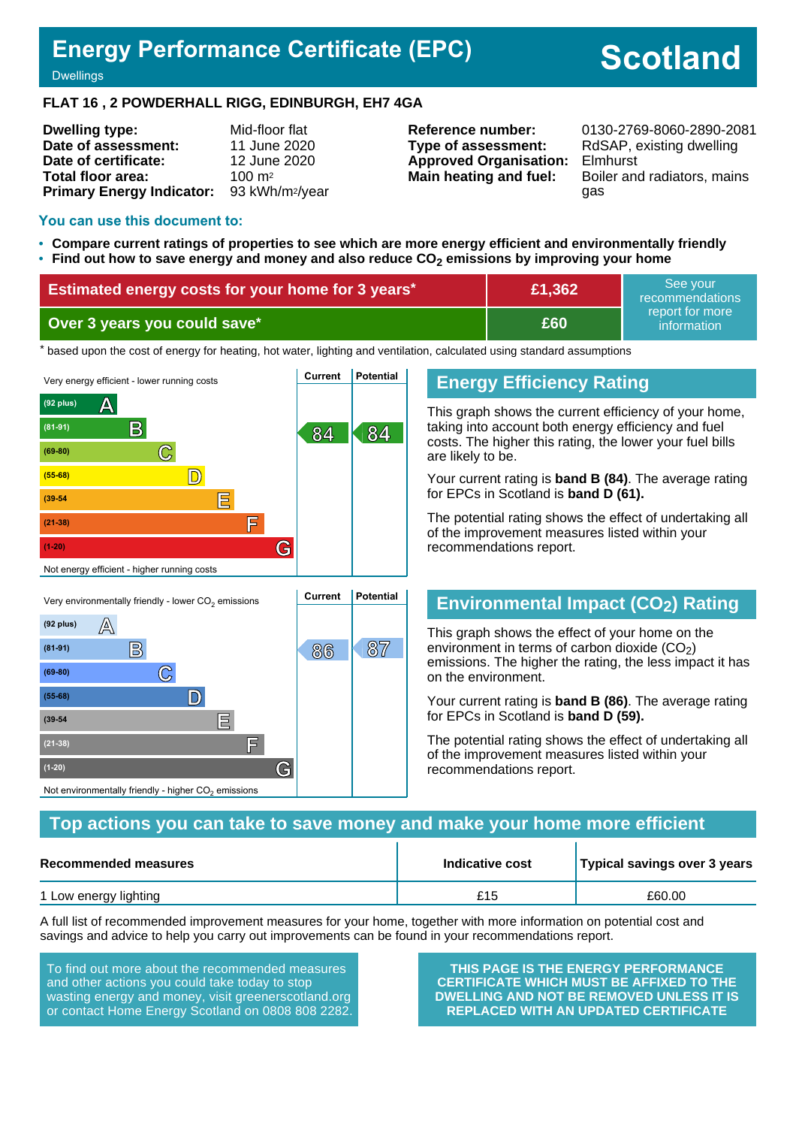## **Energy Performance Certificate (EPC)**

# **Scotland**

**Dwellings** 

#### **FLAT 16 , 2 POWDERHALL RIGG, EDINBURGH, EH7 4GA**

| <b>Dwelling type:</b>            | Mid-floor flat              |
|----------------------------------|-----------------------------|
| Date of assessment:              | 11 June 2020                |
| Date of certificate:             | 12 June 2020                |
| Total floor area:                | $100 \text{ m}^2$           |
| <b>Primary Energy Indicator:</b> | 93 kWh/m <sup>2</sup> /year |

## **Type of assessment:** RdSAP, existing dwelling **Approved Organisation:** Elmhurst

**Reference number:** 0130-2769-8060-2890-2081 **Main heating and fuel:** Boiler and radiators, mains gas

#### **You can use this document to:**

**(55-68) D**

**(39-54 E**

**(21-38) F**

Not environmentally friendly - higher  $\mathrm{CO}_2$  emissions

**(1-20) G**

- **Compare current ratings of properties to see which are more energy efficient and environmentally friendly**
- **Find out how to save energy and money and also reduce CO2 emissions by improving your home**

| Estimated energy costs for your home for 3 years* | £1,362 | See vour<br>recommendations    |
|---------------------------------------------------|--------|--------------------------------|
| Over 3 years you could save*                      | £60    | report for more<br>information |

\* based upon the cost of energy for heating, hot water, lighting and ventilation, calculated using standard assumptions



## **Energy Efficiency Rating**

This graph shows the current efficiency of your home, taking into account both energy efficiency and fuel costs. The higher this rating, the lower your fuel bills are likely to be.

Your current rating is **band B (84)**. The average rating for EPCs in Scotland is **band D (61).**

The potential rating shows the effect of undertaking all of the improvement measures listed within your recommendations report.

## **Environmental Impact (CO2) Rating**

This graph shows the effect of your home on the environment in terms of carbon dioxide  $(CO<sub>2</sub>)$ emissions. The higher the rating, the less impact it has on the environment.

Your current rating is **band B (86)**. The average rating for EPCs in Scotland is **band D (59).**

The potential rating shows the effect of undertaking all of the improvement measures listed within your recommendations report.

#### **Top actions you can take to save money and make your home more efficient**

| Recommended measures  | Indicative cost | Typical savings over 3 years |  |
|-----------------------|-----------------|------------------------------|--|
| 1 Low energy lighting | £15             | £60.00                       |  |

A full list of recommended improvement measures for your home, together with more information on potential cost and savings and advice to help you carry out improvements can be found in your recommendations report.

To find out more about the recommended measures and other actions you could take today to stop wasting energy and money, visit greenerscotland.org or contact Home Energy Scotland on 0808 808 2282.

**THIS PAGE IS THE ENERGY PERFORMANCE CERTIFICATE WHICH MUST BE AFFIXED TO THE DWELLING AND NOT BE REMOVED UNLESS IT IS REPLACED WITH AN UPDATED CERTIFICATE**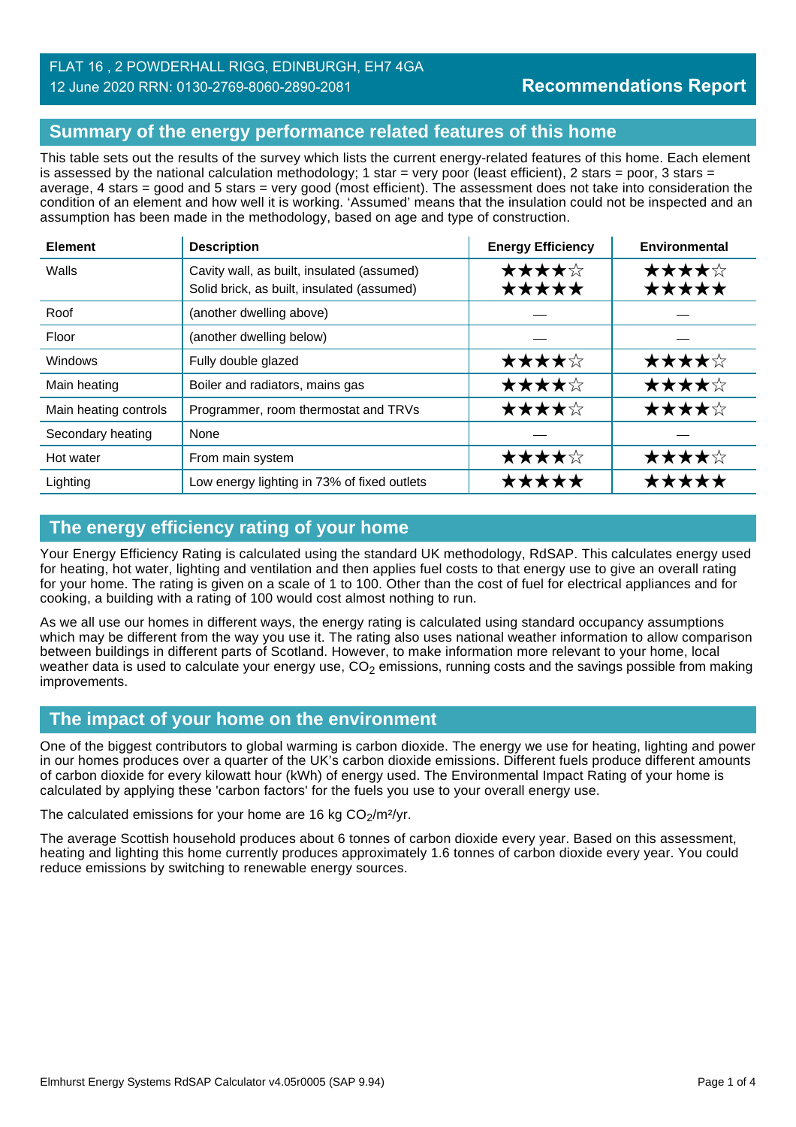#### FLAT 16 , 2 POWDERHALL RIGG, EDINBURGH, EH7 4GA 12 June 2020 RRN: 0130-2769-8060-2890-2081

## **Summary of the energy performance related features of this home**

This table sets out the results of the survey which lists the current energy-related features of this home. Each element is assessed by the national calculation methodology; 1 star = very poor (least efficient), 2 stars = poor, 3 stars = average, 4 stars = good and 5 stars = very good (most efficient). The assessment does not take into consideration the condition of an element and how well it is working. 'Assumed' means that the insulation could not be inspected and an assumption has been made in the methodology, based on age and type of construction.

| <b>Element</b>        | <b>Description</b>                                                                       | <b>Energy Efficiency</b> | Environmental  |
|-----------------------|------------------------------------------------------------------------------------------|--------------------------|----------------|
| Walls                 | Cavity wall, as built, insulated (assumed)<br>Solid brick, as built, insulated (assumed) | ★★★★☆<br>*****           | ★★★★☆<br>★★★★★ |
| Roof                  | (another dwelling above)                                                                 |                          |                |
| Floor                 | (another dwelling below)                                                                 |                          |                |
| <b>Windows</b>        | Fully double glazed                                                                      | ★★★★☆                    | ★★★★☆          |
| Main heating          | Boiler and radiators, mains gas                                                          | ★★★★☆                    | ★★★★☆          |
| Main heating controls | Programmer, room thermostat and TRVs                                                     | ★★★★☆                    | ★★★★☆          |
| Secondary heating     | None                                                                                     |                          |                |
| Hot water             | From main system                                                                         | ★★★★☆                    | ★★★★☆          |
| Lighting              | Low energy lighting in 73% of fixed outlets                                              | ★★★★★                    | *****          |

## **The energy efficiency rating of your home**

Your Energy Efficiency Rating is calculated using the standard UK methodology, RdSAP. This calculates energy used for heating, hot water, lighting and ventilation and then applies fuel costs to that energy use to give an overall rating for your home. The rating is given on a scale of 1 to 100. Other than the cost of fuel for electrical appliances and for cooking, a building with a rating of 100 would cost almost nothing to run.

As we all use our homes in different ways, the energy rating is calculated using standard occupancy assumptions which may be different from the way you use it. The rating also uses national weather information to allow comparison between buildings in different parts of Scotland. However, to make information more relevant to your home, local weather data is used to calculate your energy use,  $CO<sub>2</sub>$  emissions, running costs and the savings possible from making improvements.

## **The impact of your home on the environment**

One of the biggest contributors to global warming is carbon dioxide. The energy we use for heating, lighting and power in our homes produces over a quarter of the UK's carbon dioxide emissions. Different fuels produce different amounts of carbon dioxide for every kilowatt hour (kWh) of energy used. The Environmental Impact Rating of your home is calculated by applying these 'carbon factors' for the fuels you use to your overall energy use.

The calculated emissions for your home are 16 kg  $CO<sub>2</sub>/m<sup>2</sup>/yr$ .

The average Scottish household produces about 6 tonnes of carbon dioxide every year. Based on this assessment, heating and lighting this home currently produces approximately 1.6 tonnes of carbon dioxide every year. You could reduce emissions by switching to renewable energy sources.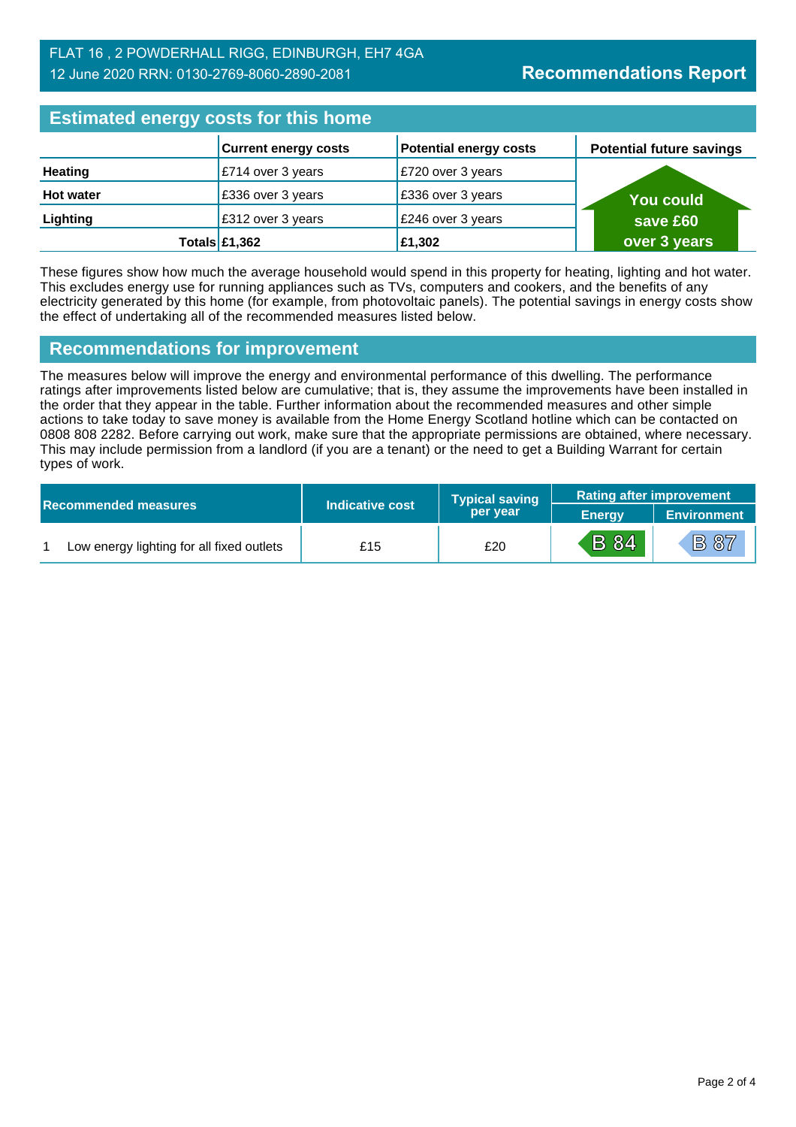| <b>Estimated energy costs for this home</b> |                             |                               |                                 |  |
|---------------------------------------------|-----------------------------|-------------------------------|---------------------------------|--|
|                                             | <b>Current energy costs</b> | <b>Potential energy costs</b> | <b>Potential future savings</b> |  |
| <b>Heating</b>                              | £714 over 3 years           | E720 over 3 years             |                                 |  |
| <b>Hot water</b>                            | £336 over 3 years           | E336 over 3 years             | <b>You could</b>                |  |
| Lighting                                    | £312 over 3 years           | £246 over 3 years             | save £60                        |  |
|                                             | Totals $£1,362$             | £1,302                        | over 3 years                    |  |

These figures show how much the average household would spend in this property for heating, lighting and hot water. This excludes energy use for running appliances such as TVs, computers and cookers, and the benefits of any electricity generated by this home (for example, from photovoltaic panels). The potential savings in energy costs show the effect of undertaking all of the recommended measures listed below.

#### **Recommendations for improvement**

The measures below will improve the energy and environmental performance of this dwelling. The performance ratings after improvements listed below are cumulative; that is, they assume the improvements have been installed in the order that they appear in the table. Further information about the recommended measures and other simple actions to take today to save money is available from the Home Energy Scotland hotline which can be contacted on 0808 808 2282. Before carrying out work, make sure that the appropriate permissions are obtained, where necessary. This may include permission from a landlord (if you are a tenant) or the need to get a Building Warrant for certain types of work.

|  |                                           |                 | <b>Typical saving</b> | <b>Rating after improvement</b> |                 |
|--|-------------------------------------------|-----------------|-----------------------|---------------------------------|-----------------|
|  | <b>Recommended measures</b>               | Indicative cost | per year              | <b>Energy</b>                   | / Environment ≀ |
|  | Low energy lighting for all fixed outlets | £15             | £20                   | <b>B</b> 84                     | <b>B</b> 87     |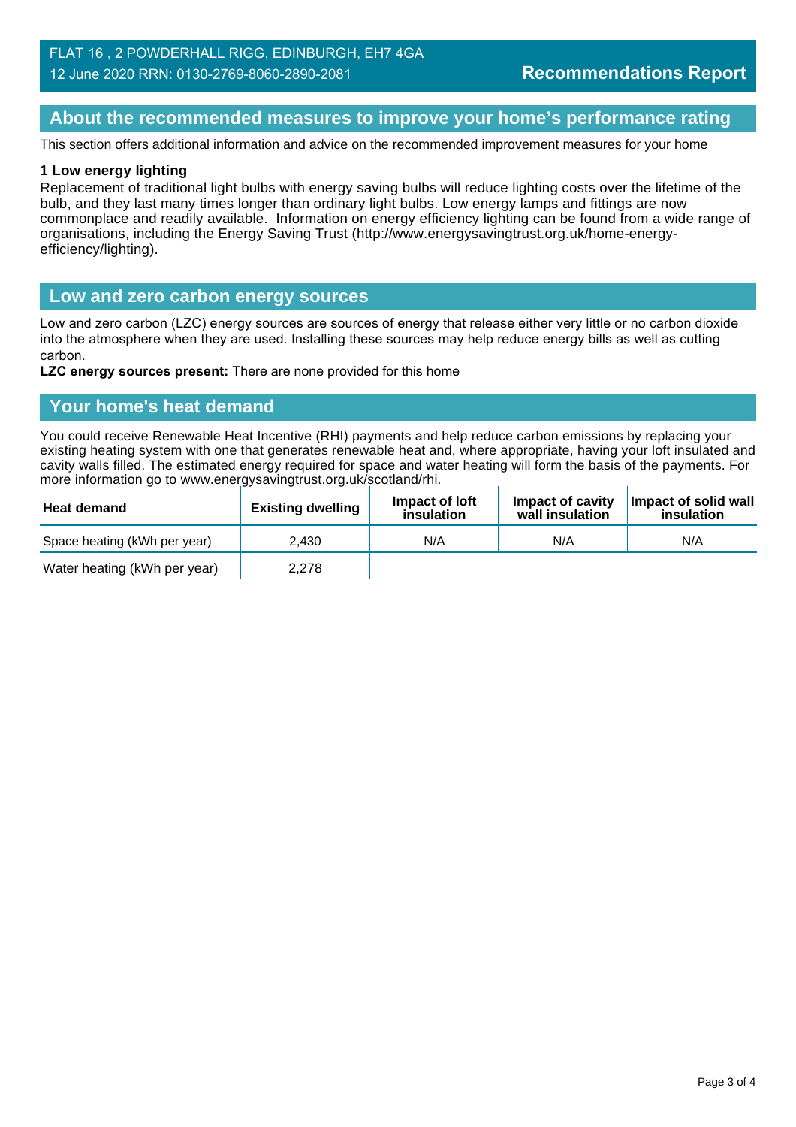#### **About the recommended measures to improve your home's performance rating**

This section offers additional information and advice on the recommended improvement measures for your home

#### **1 Low energy lighting**

Replacement of traditional light bulbs with energy saving bulbs will reduce lighting costs over the lifetime of the bulb, and they last many times longer than ordinary light bulbs. Low energy lamps and fittings are now commonplace and readily available. Information on energy efficiency lighting can be found from a wide range of organisations, including the Energy Saving Trust (http://www.energysavingtrust.org.uk/home-energyefficiency/lighting).

#### **Low and zero carbon energy sources**

Low and zero carbon (LZC) energy sources are sources of energy that release either very little or no carbon dioxide into the atmosphere when they are used. Installing these sources may help reduce energy bills as well as cutting carbon.

**LZC energy sources present:** There are none provided for this home

#### **Your home's heat demand**

You could receive Renewable Heat Incentive (RHI) payments and help reduce carbon emissions by replacing your existing heating system with one that generates renewable heat and, where appropriate, having your loft insulated and cavity walls filled. The estimated energy required for space and water heating will form the basis of the payments. For more information go to www.energysavingtrust.org.uk/scotland/rhi.

| <b>Heat demand</b>           | <b>Existing dwelling</b> | Impact of loft<br>insulation | Impact of cavity<br>wall insulation | Impact of solid wall<br>insulation |
|------------------------------|--------------------------|------------------------------|-------------------------------------|------------------------------------|
| Space heating (kWh per year) | 2.430                    | N/A                          | N/A                                 | N/A                                |
| Water heating (kWh per year) | 2,278                    |                              |                                     |                                    |